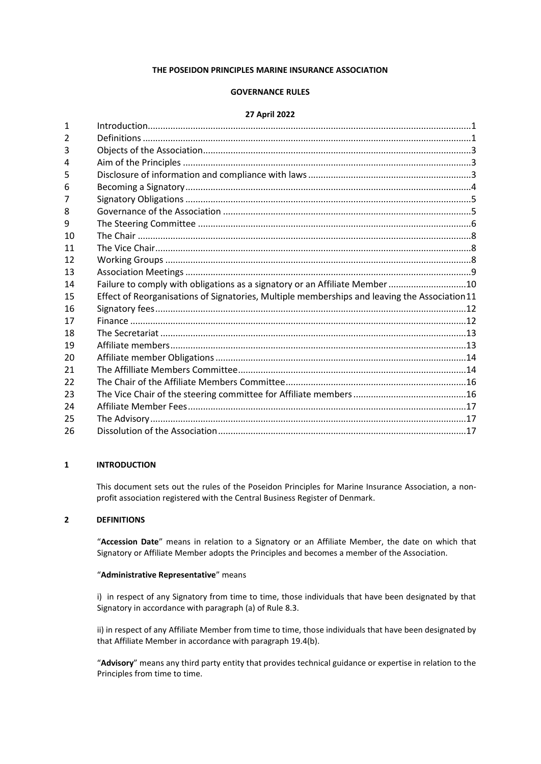### **THE POSEIDON PRINCIPLES MARINE INSURANCE ASSOCIATION**

## **GOVERNANCE RULES**

### **27 April 2022**

| Failure to comply with obligations as a signatory or an Affiliate Member10<br>Effect of Reorganisations of Signatories, Multiple memberships and leaving the Association 11 |
|-----------------------------------------------------------------------------------------------------------------------------------------------------------------------------|

# <span id="page-0-0"></span>**INTRODUCTION**

This document sets out the rules of the Poseidon Principles for Marine Insurance Association, a nonprofit association registered with the Central Business Register of Denmark.

#### <span id="page-0-1"></span>**DEFINITIONS**

"**Accession Date**" means in relation to a Signatory or an Affiliate Member, the date on which that Signatory or Affiliate Member adopts the Principles and becomes a member of the Association.

### "**Administrative Representative**" means

i) in respect of any Signatory from time to time, those individuals that have been designated by that Signatory in accordance with paragraph (a) of Rule [8.3.](#page-4-2)

ii) in respect of any Affiliate Member from time to time, those individuals that have been designated by that Affiliate Member in accordance with paragrap[h 19.4\(b\).](#page-12-2)

"**Advisory**" means any third party entity that provides technical guidance or expertise in relation to the Principles from time to time.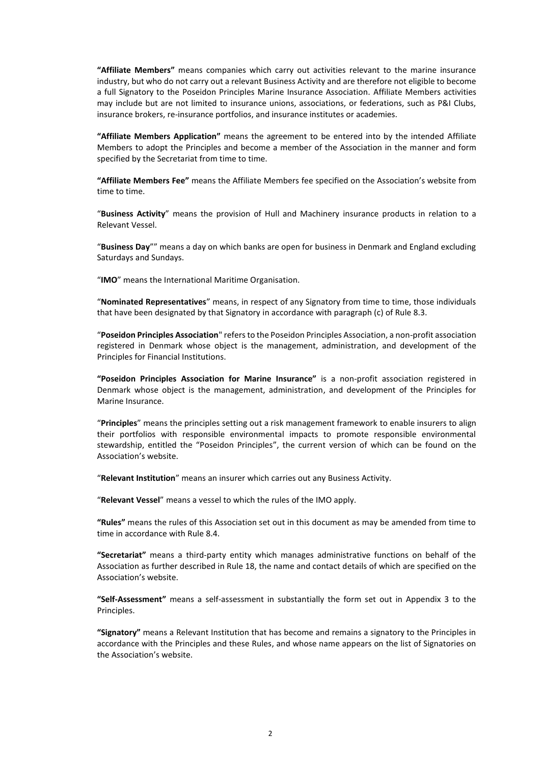**"Affiliate Members"** means companies which carry out activities relevant to the marine insurance industry, but who do not carry out a relevant Business Activity and are therefore not eligible to become a full Signatory to the Poseidon Principles Marine Insurance Association. Affiliate Members activities may include but are not limited to insurance unions, associations, or federations, such as P&I Clubs, insurance brokers, re-insurance portfolios, and insurance institutes or academies.

**"Affiliate Members Application"** means the agreement to be entered into by the intended Affiliate Members to adopt the Principles and become a member of the Association in the manner and form specified by the Secretariat from time to time.

**"Affiliate Members Fee"** means the Affiliate Members fee specified on the Association's website from time to time.

"**Business Activity**" means the provision of Hull and Machinery insurance products in relation to a Relevant Vessel.

"**Business Day**"" means a day on which banks are open for business in Denmark and England excluding Saturdays and Sundays.

"**IMO**" means the International Maritime Organisation.

"**Nominated Representatives**" means, in respect of any Signatory from time to time, those individuals that have been designated by that Signatory in accordance with paragraph (c) of Rul[e 8.3.](#page-4-2)

"**Poseidon Principles Association**" refers to the Poseidon Principles Association, a non-profit association registered in Denmark whose object is the management, administration, and development of the Principles for Financial Institutions.

**"Poseidon Principles Association for Marine Insurance"** is a non-profit association registered in Denmark whose object is the management, administration, and development of the Principles for Marine Insurance.

"**Principles**" means the principles setting out a risk management framework to enable insurers to align their portfolios with responsible environmental impacts to promote responsible environmental stewardship, entitled the "Poseidon Principles", the current version of which can be found on the Association's website.

"**Relevant Institution**" means an insurer which carries out any Business Activity.

"**Relevant Vessel**" means a vessel to which the rules of the IMO apply.

**"Rules"** means the rules of this Association set out in this document as may be amended from time to time in accordance with Rule [8.4.](#page-4-3)

**"Secretariat"** means a third-party entity which manages administrative functions on behalf of the Association as further described in Rule [18,](#page-12-0) the name and contact details of which are specified on the Association's website.

**"Self-Assessment"** means a self-assessment in substantially the form set out in Appendix 3 to the Principles.

**"Signatory"** means a Relevant Institution that has become and remains a signatory to the Principles in accordance with the Principles and these Rules, and whose name appears on the list of Signatories on the Association's website.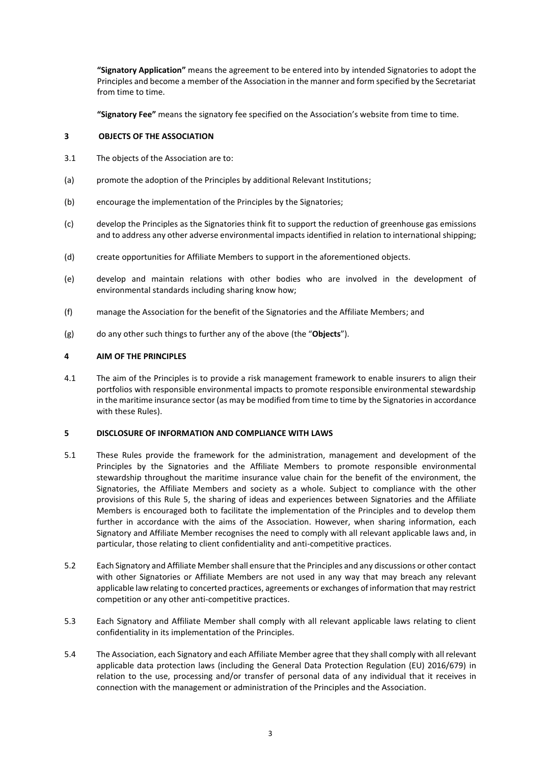**"Signatory Application"** means the agreement to be entered into by intended Signatories to adopt the Principles and become a member of the Association in the manner and form specified by the Secretariat from time to time.

<span id="page-2-0"></span>**"Signatory Fee"** means the signatory fee specified on the Association's website from time to time.

# **3 OBJECTS OF THE ASSOCIATION**

- 3.1 The objects of the Association are to:
- (a) promote the adoption of the Principles by additional Relevant Institutions;
- (b) encourage the implementation of the Principles by the Signatories;
- (c) develop the Principles as the Signatories think fit to support the reduction of greenhouse gas emissions and to address any other adverse environmental impacts identified in relation to international shipping;
- (d) create opportunities for Affiliate Members to support in the aforementioned objects.
- (e) develop and maintain relations with other bodies who are involved in the development of environmental standards including sharing know how;
- (f) manage the Association for the benefit of the Signatories and the Affiliate Members; and
- (g) do any other such things to further any of the above (the "**Objects**").

# <span id="page-2-1"></span>**4 AIM OF THE PRINCIPLES**

4.1 The aim of the Principles is to provide a risk management framework to enable insurers to align their portfolios with responsible environmental impacts to promote responsible environmental stewardship in the maritime insurance sector (as may be modified from time to time by the Signatories in accordance with these Rules).

## <span id="page-2-2"></span>**5 DISCLOSURE OF INFORMATION AND COMPLIANCE WITH LAWS**

- 5.1 These Rules provide the framework for the administration, management and development of the Principles by the Signatories and the Affiliate Members to promote responsible environmental stewardship throughout the maritime insurance value chain for the benefit of the environment, the Signatories, the Affiliate Members and society as a whole. Subject to compliance with the other provisions of this Rule 5, the sharing of ideas and experiences between Signatories and the Affiliate Members is encouraged both to facilitate the implementation of the Principles and to develop them further in accordance with the aims of the Association. However, when sharing information, each Signatory and Affiliate Member recognises the need to comply with all relevant applicable laws and, in particular, those relating to client confidentiality and anti-competitive practices.
- 5.2 Each Signatory and Affiliate Membershall ensure that the Principles and any discussions or other contact with other Signatories or Affiliate Members are not used in any way that may breach any relevant applicable law relating to concerted practices, agreements or exchanges of information that may restrict competition or any other anti-competitive practices.
- 5.3 Each Signatory and Affiliate Member shall comply with all relevant applicable laws relating to client confidentiality in its implementation of the Principles.
- 5.4 The Association, each Signatory and each Affiliate Member agree that they shall comply with all relevant applicable data protection laws (including the General Data Protection Regulation (EU) 2016/679) in relation to the use, processing and/or transfer of personal data of any individual that it receives in connection with the management or administration of the Principles and the Association.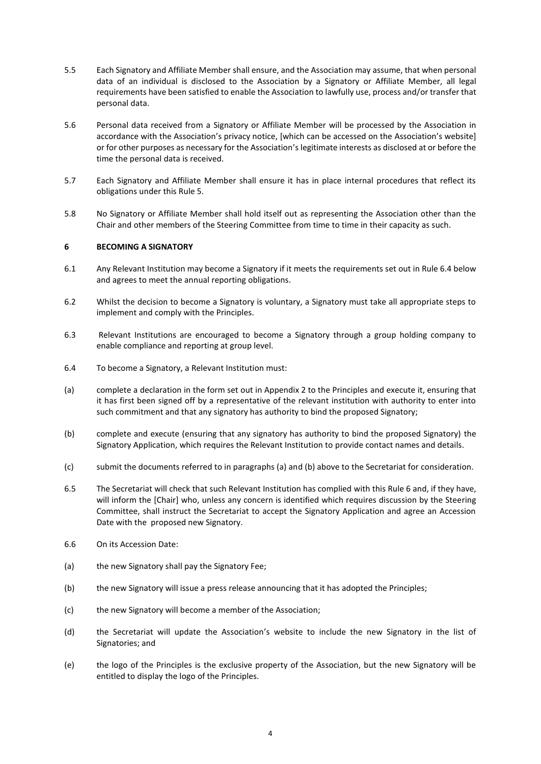- 5.5 Each Signatory and Affiliate Member shall ensure, and the Association may assume, that when personal data of an individual is disclosed to the Association by a Signatory or Affiliate Member, all legal requirements have been satisfied to enable the Association to lawfully use, process and/or transfer that personal data.
- 5.6 Personal data received from a Signatory or Affiliate Member will be processed by the Association in accordance with the Association's privacy notice, [which can be accessed on the Association's website] or for other purposes as necessary for the Association's legitimate interests as disclosed at or before the time the personal data is received.
- 5.7 Each Signatory and Affiliate Member shall ensure it has in place internal procedures that reflect its obligations under this Rule 5.
- 5.8 No Signatory or Affiliate Member shall hold itself out as representing the Association other than the Chair and other members of the Steering Committee from time to time in their capacity as such.

## <span id="page-3-0"></span>**6 BECOMING A SIGNATORY**

- 6.1 Any Relevant Institution may become a Signatory if it meets the requirements set out in Rule 6.4 below and agrees to meet the annual reporting obligations.
- 6.2 Whilst the decision to become a Signatory is voluntary, a Signatory must take all appropriate steps to implement and comply with the Principles.
- 6.3 Relevant Institutions are encouraged to become a Signatory through a group holding company to enable compliance and reporting at group level.
- 6.4 To become a Signatory, a Relevant Institution must:
- (a) complete a declaration in the form set out in Appendix 2 to the Principles and execute it, ensuring that it has first been signed off by a representative of the relevant institution with authority to enter into such commitment and that any signatory has authority to bind the proposed Signatory;
- (b) complete and execute (ensuring that any signatory has authority to bind the proposed Signatory) the Signatory Application, which requires the Relevant Institution to provide contact names and details.
- (c) submit the documents referred to in paragraphs (a) and (b) above to the Secretariat for consideration.
- 6.5 The Secretariat will check that such Relevant Institution has complied with this Rule 6 and, if they have, will inform the [Chair] who, unless any concern is identified which requires discussion by the Steering Committee, shall instruct the Secretariat to accept the Signatory Application and agree an Accession Date with the proposed new Signatory.
- 6.6 On its Accession Date:
- (a) the new Signatory shall pay the Signatory Fee;
- (b) the new Signatory will issue a press release announcing that it has adopted the Principles;
- (c) the new Signatory will become a member of the Association;
- (d) the Secretariat will update the Association's website to include the new Signatory in the list of Signatories; and
- (e) the logo of the Principles is the exclusive property of the Association, but the new Signatory will be entitled to display the logo of the Principles.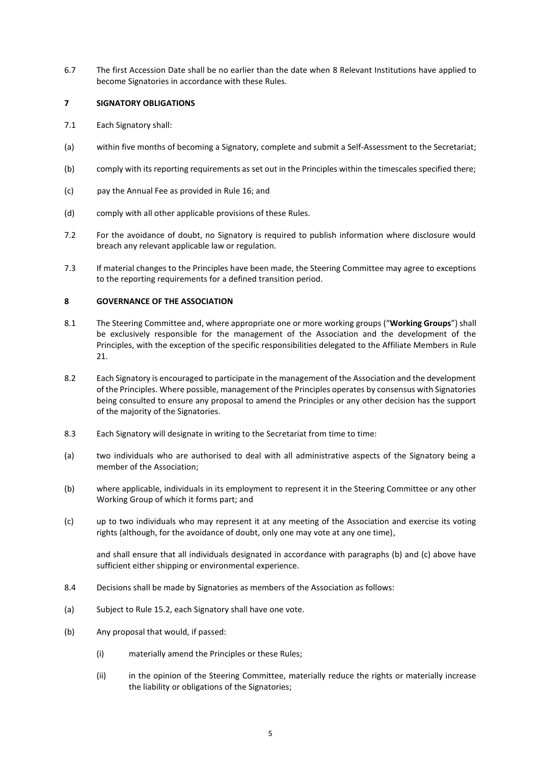6.7 The first Accession Date shall be no earlier than the date when 8 Relevant Institutions have applied to become Signatories in accordance with these Rules.

## <span id="page-4-0"></span>**7 SIGNATORY OBLIGATIONS**

- 7.1 Each Signatory shall:
- (a) within five months of becoming a Signatory, complete and submit a Self-Assessment to the Secretariat;
- (b) comply with its reporting requirements as set out in the Principles within the timescales specified there;
- (c) pay the Annual Fee as provided in Rule [16;](#page-11-0) and
- (d) comply with all other applicable provisions of these Rules.
- 7.2 For the avoidance of doubt, no Signatory is required to publish information where disclosure would breach any relevant applicable law or regulation.
- 7.3 If material changes to the Principles have been made, the Steering Committee may agree to exceptions to the reporting requirements for a defined transition period.

# <span id="page-4-1"></span>**8 GOVERNANCE OF THE ASSOCIATION**

- 8.1 The Steering Committee and, where appropriate one or more working groups ("**Working Groups**") shall be exclusively responsible for the management of the Association and the development of the Principles, with the exception of the specific responsibilities delegated to the Affiliate Members in Rule [21.](#page-13-1)
- 8.2 Each Signatory is encouraged to participate in the management of the Association and the development of the Principles. Where possible, management of the Principles operates by consensus with Signatories being consulted to ensure any proposal to amend the Principles or any other decision has the support of the majority of the Signatories.
- <span id="page-4-2"></span>8.3 Each Signatory will designate in writing to the Secretariat from time to time:
- (a) two individuals who are authorised to deal with all administrative aspects of the Signatory being a member of the Association;
- (b) where applicable, individuals in its employment to represent it in the Steering Committee or any other Working Group of which it forms part; and
- (c) up to two individuals who may represent it at any meeting of the Association and exercise its voting rights (although, for the avoidance of doubt, only one may vote at any one time),

and shall ensure that all individuals designated in accordance with paragraphs (b) and (c) above have sufficient either shipping or environmental experience.

- <span id="page-4-3"></span>8.4 Decisions shall be made by Signatories as members of the Association as follows:
- (a) Subject to Rule [15.2,](#page-10-1) each Signatory shall have one vote.
- (b) Any proposal that would, if passed:
	- (i) materially amend the Principles or these Rules;
	- (ii) in the opinion of the Steering Committee, materially reduce the rights or materially increase the liability or obligations of the Signatories;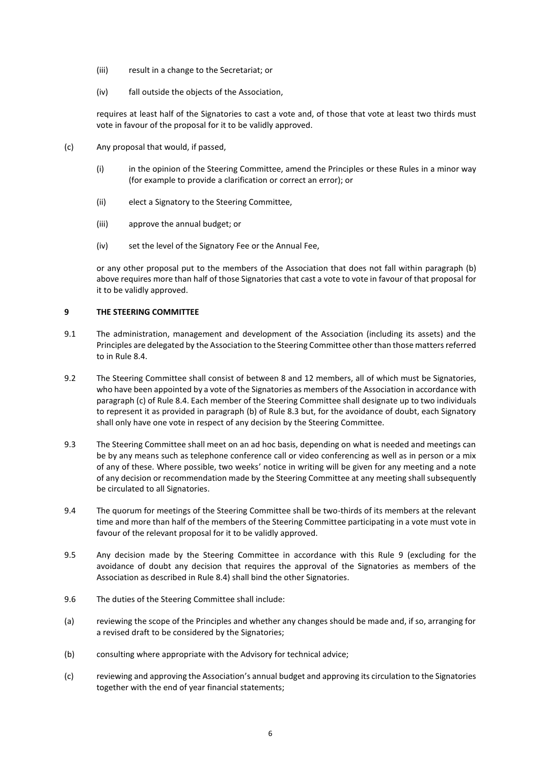- (iii) result in a change to the Secretariat; or
- (iv) fall outside the objects of the Association,

requires at least half of the Signatories to cast a vote and, of those that vote at least two thirds must vote in favour of the proposal for it to be validly approved.

- <span id="page-5-1"></span>(c) Any proposal that would, if passed,
	- (i) in the opinion of the Steering Committee, amend the Principles or these Rules in a minor way (for example to provide a clarification or correct an error); or
	- (ii) elect a Signatory to the Steering Committee,
	- (iii) approve the annual budget; or
	- (iv) set the level of the Signatory Fee or the Annual Fee,

or any other proposal put to the members of the Association that does not fall within paragraph (b) above requires more than half of those Signatories that cast a vote to vote in favour of that proposal for it to be validly approved.

### <span id="page-5-0"></span>**9 THE STEERING COMMITTEE**

- 9.1 The administration, management and development of the Association (including its assets) and the Principles are delegated by the Association to the Steering Committee other than those matters referred to in Rule [8.4.](#page-4-3)
- <span id="page-5-2"></span>9.2 The Steering Committee shall consist of between 8 and 12 members, all of which must be Signatories, who have been appointed by a vote of the Signatories as members of the Association in accordance with paragrap[h \(c\)](#page-5-1) of Rul[e 8.4.](#page-4-3) Each member of the Steering Committee shall designate up to two individuals to represent it as provided in paragraph (b) of Rule [8.3](#page-4-2) but, for the avoidance of doubt, each Signatory shall only have one vote in respect of any decision by the Steering Committee.
- 9.3 The Steering Committee shall meet on an ad hoc basis, depending on what is needed and meetings can be by any means such as telephone conference call or video conferencing as well as in person or a mix of any of these. Where possible, two weeks' notice in writing will be given for any meeting and a note of any decision or recommendation made by the Steering Committee at any meeting shall subsequently be circulated to all Signatories.
- 9.4 The quorum for meetings of the Steering Committee shall be two-thirds of its members at the relevant time and more than half of the members of the Steering Committee participating in a vote must vote in favour of the relevant proposal for it to be validly approved.
- 9.5 Any decision made by the Steering Committee in accordance with this Rule [9](#page-5-0) (excluding for the avoidance of doubt any decision that requires the approval of the Signatories as members of the Association as described in Rule [8.4\)](#page-4-3) shall bind the other Signatories.
- 9.6 The duties of the Steering Committee shall include:
- (a) reviewing the scope of the Principles and whether any changes should be made and, if so, arranging for a revised draft to be considered by the Signatories;
- (b) consulting where appropriate with the Advisory for technical advice;
- (c) reviewing and approving the Association's annual budget and approving its circulation to the Signatories together with the end of year financial statements;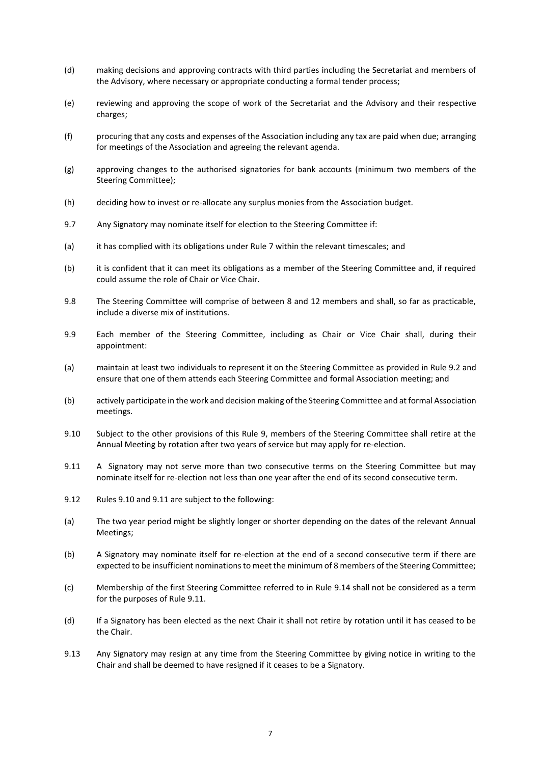- (d) making decisions and approving contracts with third parties including the Secretariat and members of the Advisory, where necessary or appropriate conducting a formal tender process;
- (e) reviewing and approving the scope of work of the Secretariat and the Advisory and their respective charges;
- (f) procuring that any costs and expenses of the Association including any tax are paid when due; arranging for meetings of the Association and agreeing the relevant agenda.
- (g) approving changes to the authorised signatories for bank accounts (minimum two members of the Steering Committee);
- (h) deciding how to invest or re-allocate any surplus monies from the Association budget.
- 9.7 Any Signatory may nominate itself for election to the Steering Committee if:
- (a) it has complied with its obligations under Rule [7](#page-4-0) within the relevant timescales; and
- (b) it is confident that it can meet its obligations as a member of the Steering Committee and, if required could assume the role of Chair or Vice Chair.
- 9.8 The Steering Committee will comprise of between 8 and 12 members and shall, so far as practicable, include a diverse mix of institutions.
- 9.9 Each member of the Steering Committee, including as Chair or Vice Chair shall, during their appointment:
- (a) maintain at least two individuals to represent it on the Steering Committee as provided in Rule [9.2](#page-5-2) and ensure that one of them attends each Steering Committee and formal Association meeting; and
- (b) actively participate in the work and decision making of the Steering Committee and at formal Association meetings.
- <span id="page-6-0"></span>9.10 Subject to the other provisions of this Rule [9,](#page-5-0) members of the Steering Committee shall retire at the Annual Meeting by rotation after two years of service but may apply for re-election.
- <span id="page-6-1"></span>9.11 A Signatory may not serve more than two consecutive terms on the Steering Committee but may nominate itself for re-election not less than one year after the end of its second consecutive term.
- 9.12 Rule[s 9.10](#page-6-0) and [9.11](#page-6-1) are subject to the following:
- (a) The two year period might be slightly longer or shorter depending on the dates of the relevant Annual Meetings;
- (b) A Signatory may nominate itself for re-election at the end of a second consecutive term if there are expected to be insufficient nominations to meet the minimum of 8 members of the Steering Committee;
- (c) Membership of the first Steering Committee referred to in Rule [9.14](#page-7-3) shall not be considered as a term for the purposes of Rul[e 9.11.](#page-6-1)
- (d) If a Signatory has been elected as the next Chair it shall not retire by rotation until it has ceased to be the Chair.
- 9.13 Any Signatory may resign at any time from the Steering Committee by giving notice in writing to the Chair and shall be deemed to have resigned if it ceases to be a Signatory.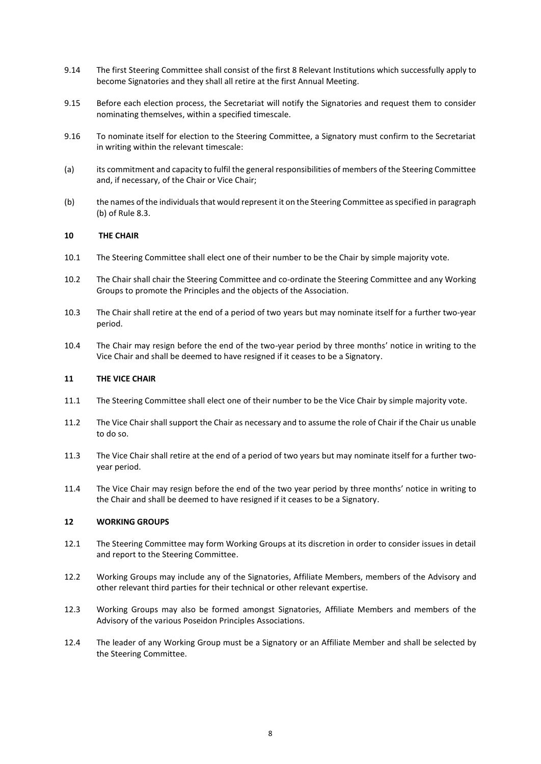- <span id="page-7-3"></span>9.14 The first Steering Committee shall consist of the first 8 Relevant Institutions which successfully apply to become Signatories and they shall all retire at the first Annual Meeting.
- 9.15 Before each election process, the Secretariat will notify the Signatories and request them to consider nominating themselves, within a specified timescale.
- 9.16 To nominate itself for election to the Steering Committee, a Signatory must confirm to the Secretariat in writing within the relevant timescale:
- (a) its commitment and capacity to fulfil the general responsibilities of members of the Steering Committee and, if necessary, of the Chair or Vice Chair;
- (b) the names of the individuals that would represent it on the Steering Committee as specified in paragraph (b) of Rule [8.3.](#page-4-2)

# <span id="page-7-0"></span>**10 THE CHAIR**

- 10.1 The Steering Committee shall elect one of their number to be the Chair by simple majority vote.
- 10.2 The Chair shall chair the Steering Committee and co-ordinate the Steering Committee and any Working Groups to promote the Principles and the objects of the Association.
- 10.3 The Chair shall retire at the end of a period of two years but may nominate itself for a further two-year period.
- 10.4 The Chair may resign before the end of the two-year period by three months' notice in writing to the Vice Chair and shall be deemed to have resigned if it ceases to be a Signatory.

## <span id="page-7-1"></span>**11 THE VICE CHAIR**

- 11.1 The Steering Committee shall elect one of their number to be the Vice Chair by simple majority vote.
- 11.2 The Vice Chair shall support the Chair as necessary and to assume the role of Chair if the Chair us unable to do so.
- 11.3 The Vice Chair shall retire at the end of a period of two years but may nominate itself for a further twoyear period.
- 11.4 The Vice Chair may resign before the end of the two year period by three months' notice in writing to the Chair and shall be deemed to have resigned if it ceases to be a Signatory.

## <span id="page-7-2"></span>**12 WORKING GROUPS**

- 12.1 The Steering Committee may form Working Groups at its discretion in order to consider issues in detail and report to the Steering Committee.
- 12.2 Working Groups may include any of the Signatories, Affiliate Members, members of the Advisory and other relevant third parties for their technical or other relevant expertise.
- 12.3 Working Groups may also be formed amongst Signatories, Affiliate Members and members of the Advisory of the various Poseidon Principles Associations.
- 12.4 The leader of any Working Group must be a Signatory or an Affiliate Member and shall be selected by the Steering Committee.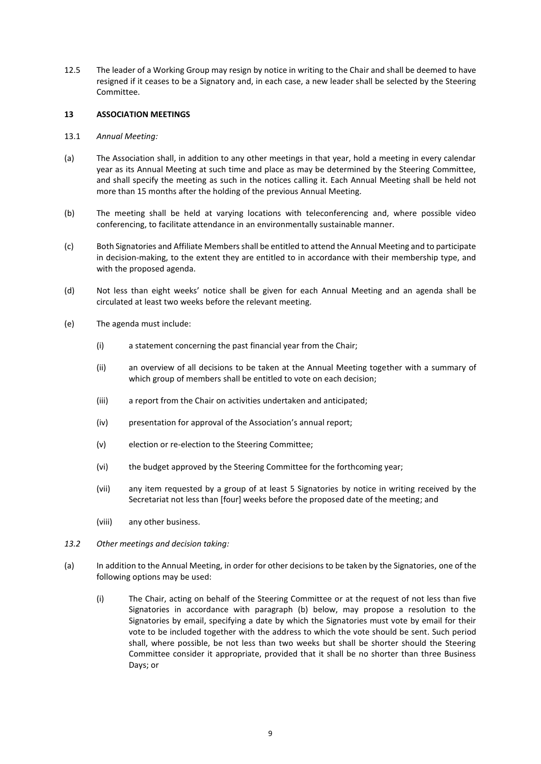12.5 The leader of a Working Group may resign by notice in writing to the Chair and shall be deemed to have resigned if it ceases to be a Signatory and, in each case, a new leader shall be selected by the Steering Committee.

## <span id="page-8-0"></span>**13 ASSOCIATION MEETINGS**

- 13.1 *Annual Meeting:*
- (a) The Association shall, in addition to any other meetings in that year, hold a meeting in every calendar year as its Annual Meeting at such time and place as may be determined by the Steering Committee, and shall specify the meeting as such in the notices calling it. Each Annual Meeting shall be held not more than 15 months after the holding of the previous Annual Meeting.
- (b) The meeting shall be held at varying locations with teleconferencing and, where possible video conferencing, to facilitate attendance in an environmentally sustainable manner.
- (c) Both Signatories and Affiliate Members shall be entitled to attend the Annual Meeting and to participate in decision-making, to the extent they are entitled to in accordance with their membership type, and with the proposed agenda.
- (d) Not less than eight weeks' notice shall be given for each Annual Meeting and an agenda shall be circulated at least two weeks before the relevant meeting.
- (e) The agenda must include:
	- (i) a statement concerning the past financial year from the Chair;
	- (ii) an overview of all decisions to be taken at the Annual Meeting together with a summary of which group of members shall be entitled to vote on each decision;
	- (iii) a report from the Chair on activities undertaken and anticipated;
	- (iv) presentation for approval of the Association's annual report;
	- (v) election or re-election to the Steering Committee;
	- (vi) the budget approved by the Steering Committee for the forthcoming year;
	- (vii) any item requested by a group of at least 5 Signatories by notice in writing received by the Secretariat not less than [four] weeks before the proposed date of the meeting; and
	- (viii) any other business.
- *13.2 Other meetings and decision taking:*
- (a) In addition to the Annual Meeting, in order for other decisions to be taken by the Signatories, one of the following options may be used:
	- (i) The Chair, acting on behalf of the Steering Committee or at the request of not less than five Signatories in accordance with paragraph (b) below, may propose a resolution to the Signatories by email, specifying a date by which the Signatories must vote by email for their vote to be included together with the address to which the vote should be sent. Such period shall, where possible, be not less than two weeks but shall be shorter should the Steering Committee consider it appropriate, provided that it shall be no shorter than three Business Days; or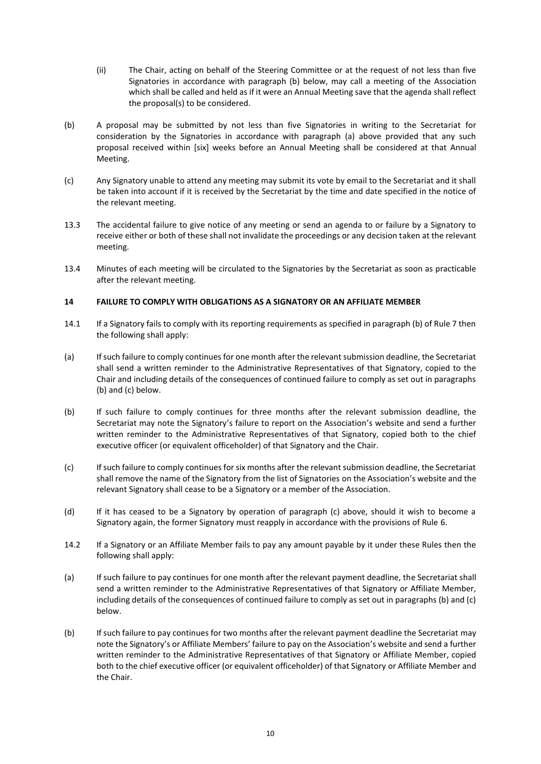- (ii) The Chair, acting on behalf of the Steering Committee or at the request of not less than five Signatories in accordance with paragraph (b) below, may call a meeting of the Association which shall be called and held as if it were an Annual Meeting save that the agenda shall reflect the proposal(s) to be considered.
- (b) A proposal may be submitted by not less than five Signatories in writing to the Secretariat for consideration by the Signatories in accordance with paragraph (a) above provided that any such proposal received within [six] weeks before an Annual Meeting shall be considered at that Annual Meeting.
- (c) Any Signatory unable to attend any meeting may submit its vote by email to the Secretariat and it shall be taken into account if it is received by the Secretariat by the time and date specified in the notice of the relevant meeting.
- 13.3 The accidental failure to give notice of any meeting or send an agenda to or failure by a Signatory to receive either or both of these shall not invalidate the proceedings or any decision taken at the relevant meeting.
- 13.4 Minutes of each meeting will be circulated to the Signatories by the Secretariat as soon as practicable after the relevant meeting.

# <span id="page-9-0"></span>**14 FAILURE TO COMPLY WITH OBLIGATIONS AS A SIGNATORY OR AN AFFILIATE MEMBER**

- 14.1 If a Signatory fails to comply with its reporting requirements as specified in paragraph (b) of Rule 7 then the following shall apply:
- (a) If such failure to comply continues for one month after the relevant submission deadline, the Secretariat shall send a written reminder to the Administrative Representatives of that Signatory, copied to the Chair and including details of the consequences of continued failure to comply as set out in paragraphs (b) and (c) below.
- (b) If such failure to comply continues for three months after the relevant submission deadline, the Secretariat may note the Signatory's failure to report on the Association's website and send a further written reminder to the Administrative Representatives of that Signatory, copied both to the chief executive officer (or equivalent officeholder) of that Signatory and the Chair.
- (c) If such failure to comply continues for six months after the relevant submission deadline, the Secretariat shall remove the name of the Signatory from the list of Signatories on the Association's website and the relevant Signatory shall cease to be a Signatory or a member of the Association.
- (d) If it has ceased to be a Signatory by operation of paragraph (c) above, should it wish to become a Signatory again, the former Signatory must reapply in accordance with the provisions of Rule [6.](#page-3-0)
- <span id="page-9-1"></span>14.2 If a Signatory or an Affiliate Member fails to pay any amount payable by it under these Rules then the following shall apply:
- (a) If such failure to pay continues for one month after the relevant payment deadline, the Secretariat shall send a written reminder to the Administrative Representatives of that Signatory or Affiliate Member, including details of the consequences of continued failure to comply as set out in paragraphs (b) and (c) below.
- (b) If such failure to pay continues for two months after the relevant payment deadline the Secretariat may note the Signatory's or Affiliate Members' failure to pay on the Association's website and send a further written reminder to the Administrative Representatives of that Signatory or Affiliate Member, copied both to the chief executive officer (or equivalent officeholder) of that Signatory or Affiliate Member and the Chair.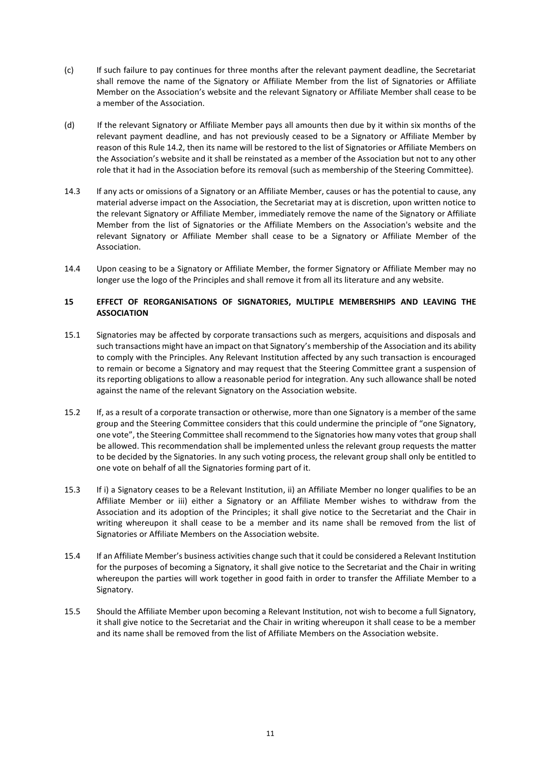- (c) If such failure to pay continues for three months after the relevant payment deadline, the Secretariat shall remove the name of the Signatory or Affiliate Member from the list of Signatories or Affiliate Member on the Association's website and the relevant Signatory or Affiliate Member shall cease to be a member of the Association.
- (d) If the relevant Signatory or Affiliate Member pays all amounts then due by it within six months of the relevant payment deadline, and has not previously ceased to be a Signatory or Affiliate Member by reason of this Rule [14.2,](#page-9-1) then its name will be restored to the list of Signatories or Affiliate Members on the Association's website and it shall be reinstated as a member of the Association but not to any other role that it had in the Association before its removal (such as membership of the Steering Committee).
- 14.3 If any acts or omissions of a Signatory or an Affiliate Member, causes or has the potential to cause, any material adverse impact on the Association, the Secretariat may at is discretion, upon written notice to the relevant Signatory or Affiliate Member, immediately remove the name of the Signatory or Affiliate Member from the list of Signatories or the Affiliate Members on the Association's website and the relevant Signatory or Affiliate Member shall cease to be a Signatory or Affiliate Member of the Association.
- 14.4 Upon ceasing to be a Signatory or Affiliate Member, the former Signatory or Affiliate Member may no longer use the logo of the Principles and shall remove it from all its literature and any website.

# <span id="page-10-0"></span>**15 EFFECT OF REORGANISATIONS OF SIGNATORIES, MULTIPLE MEMBERSHIPS AND LEAVING THE ASSOCIATION**

- 15.1 Signatories may be affected by corporate transactions such as mergers, acquisitions and disposals and such transactions might have an impact on that Signatory's membership of the Association and its ability to comply with the Principles. Any Relevant Institution affected by any such transaction is encouraged to remain or become a Signatory and may request that the Steering Committee grant a suspension of its reporting obligations to allow a reasonable period for integration. Any such allowance shall be noted against the name of the relevant Signatory on the Association website.
- <span id="page-10-1"></span>15.2 If, as a result of a corporate transaction or otherwise, more than one Signatory is a member of the same group and the Steering Committee considers that this could undermine the principle of "one Signatory, one vote", the Steering Committee shall recommend to the Signatories how many votes that group shall be allowed. This recommendation shall be implemented unless the relevant group requests the matter to be decided by the Signatories. In any such voting process, the relevant group shall only be entitled to one vote on behalf of all the Signatories forming part of it.
- 15.3 If i) a Signatory ceases to be a Relevant Institution, ii) an Affiliate Member no longer qualifies to be an Affiliate Member or iii) either a Signatory or an Affiliate Member wishes to withdraw from the Association and its adoption of the Principles; it shall give notice to the Secretariat and the Chair in writing whereupon it shall cease to be a member and its name shall be removed from the list of Signatories or Affiliate Members on the Association website.
- 15.4 If an Affiliate Member's business activities change such that it could be considered a Relevant Institution for the purposes of becoming a Signatory, it shall give notice to the Secretariat and the Chair in writing whereupon the parties will work together in good faith in order to transfer the Affiliate Member to a Signatory.
- 15.5 Should the Affiliate Member upon becoming a Relevant Institution, not wish to become a full Signatory, it shall give notice to the Secretariat and the Chair in writing whereupon it shall cease to be a member and its name shall be removed from the list of Affiliate Members on the Association website.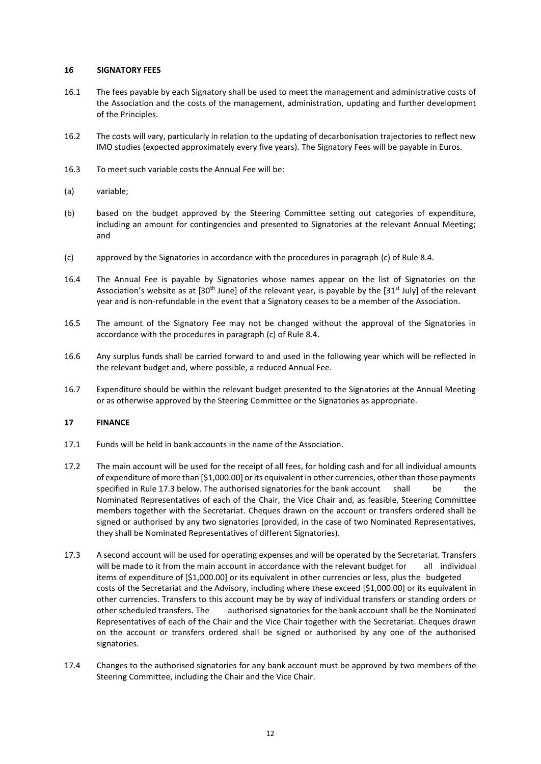### <span id="page-11-0"></span>**16 SIGNATORY FEES**

- 16.1 The fees payable by each Signatory shall be used to meet the management and administrative costs of the Association and the costs of the management, administration, updating and further development of the Principles.
- 16.2 The costs will vary, particularly in relation to the updating of decarbonisation trajectories to reflect new IMO studies (expected approximately every five years). The Signatory Fees will be payable in Euros.
- 16.3 To meet such variable costs the Annual Fee will be:
- (a) variable;
- (b) based on the budget approved by the Steering Committee setting out categories of expenditure, including an amount for contingencies and presented to Signatories at the relevant Annual Meeting; and
- (c) approved by the Signatories in accordance with the procedures in paragrap[h \(c\)](#page-5-1) of Rule [8.4.](#page-4-3)
- 16.4 The Annual Fee is payable by Signatories whose names appear on the list of Signatories on the Association's website as at  $[30<sup>th</sup>$  June] of the relevant year, is payable by the  $[31<sup>st</sup>$  July] of the relevant year and is non-refundable in the event that a Signatory ceases to be a member of the Association.
- 16.5 The amount of the Signatory Fee may not be changed without the approval of the Signatories in accordance with the procedures in paragrap[h \(c\)](#page-5-1) of Rule [8.4.](#page-4-3)
- 16.6 Any surplus funds shall be carried forward to and used in the following year which will be reflected in the relevant budget and, where possible, a reduced Annual Fee.
- 16.7 Expenditure should be within the relevant budget presented to the Signatories at the Annual Meeting or as otherwise approved by the Steering Committee or the Signatories as appropriate.

## <span id="page-11-1"></span>**17 FINANCE**

- 17.1 Funds will be held in bank accounts in the name of the Association.
- 17.2 The main account will be used for the receipt of all fees, for holding cash and for all individual amounts of expenditure of more than [\$1,000.00] or its equivalent in other currencies, other than those payments specified in Rule [17.3](#page-11-2) below. The authorised signatories for the bank account shall be the Nominated Representatives of each of the Chair, the Vice Chair and, as feasible, Steering Committee members together with the Secretariat. Cheques drawn on the account or transfers ordered shall be signed or authorised by any two signatories (provided, in the case of two Nominated Representatives, they shall be Nominated Representatives of different Signatories).
- <span id="page-11-2"></span>17.3 A second account will be used for operating expenses and will be operated by the Secretariat. Transfers will be made to it from the main account in accordance with the relevant budget for all individual items of expenditure of [\$1,000.00] or its equivalent in other currencies or less, plus the budgeted costs of the Secretariat and the Advisory, including where these exceed [\$1,000.00] or its equivalent in other currencies. Transfers to this account may be by way of individual transfers or standing orders or other scheduled transfers. The authorised signatories for the bank account shall be the Nominated Representatives of each of the Chair and the Vice Chair together with the Secretariat. Cheques drawn on the account or transfers ordered shall be signed or authorised by any one of the authorised signatories.
- 17.4 Changes to the authorised signatories for any bank account must be approved by two members of the Steering Committee, including the Chair and the Vice Chair.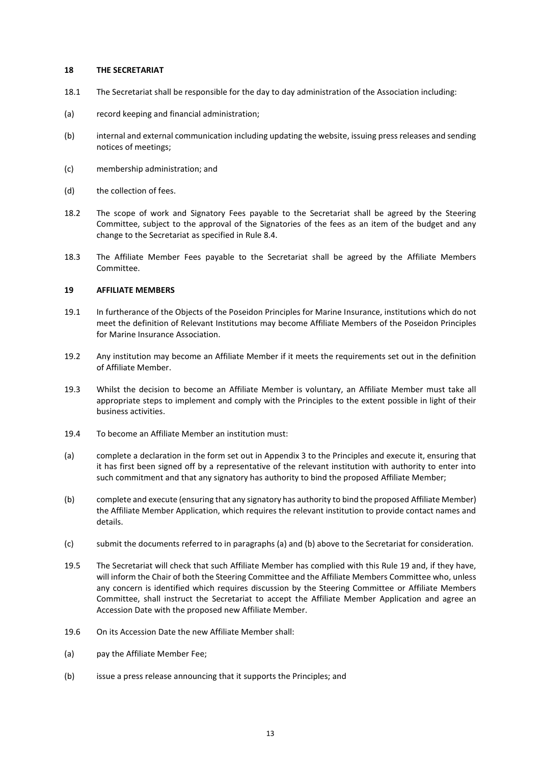### <span id="page-12-0"></span>**18 THE SECRETARIAT**

- 18.1 The Secretariat shall be responsible for the day to day administration of the Association including:
- (a) record keeping and financial administration;
- (b) internal and external communication including updating the website, issuing press releases and sending notices of meetings;
- (c) membership administration; and
- (d) the collection of fees.
- 18.2 The scope of work and Signatory Fees payable to the Secretariat shall be agreed by the Steering Committee, subject to the approval of the Signatories of the fees as an item of the budget and any change to the Secretariat as specified in Rule [8.4.](#page-4-3)
- 18.3 The Affiliate Member Fees payable to the Secretariat shall be agreed by the Affiliate Members Committee.

## <span id="page-12-1"></span>**19 AFFILIATE MEMBERS**

- 19.1 In furtherance of the Objects of the Poseidon Principles for Marine Insurance, institutions which do not meet the definition of Relevant Institutions may become Affiliate Members of the Poseidon Principles for Marine Insurance Association.
- 19.2 Any institution may become an Affiliate Member if it meets the requirements set out in the definition of Affiliate Member.
- 19.3 Whilst the decision to become an Affiliate Member is voluntary, an Affiliate Member must take all appropriate steps to implement and comply with the Principles to the extent possible in light of their business activities.
- 19.4 To become an Affiliate Member an institution must:
- (a) complete a declaration in the form set out in Appendix 3 to the Principles and execute it, ensuring that it has first been signed off by a representative of the relevant institution with authority to enter into such commitment and that any signatory has authority to bind the proposed Affiliate Member;
- <span id="page-12-2"></span>(b) complete and execute (ensuring that any signatory has authority to bind the proposed Affiliate Member) the Affiliate Member Application, which requires the relevant institution to provide contact names and details.
- (c) submit the documents referred to in paragraphs (a) and (b) above to the Secretariat for consideration.
- 19.5 The Secretariat will check that such Affiliate Member has complied with this Rule [19](#page-12-1) and, if they have, will inform the Chair of both the Steering Committee and the Affiliate Members Committee who, unless any concern is identified which requires discussion by the Steering Committee or Affiliate Members Committee, shall instruct the Secretariat to accept the Affiliate Member Application and agree an Accession Date with the proposed new Affiliate Member.
- 19.6 On its Accession Date the new Affiliate Member shall:
- (a) pay the Affiliate Member Fee;
- (b) issue a press release announcing that it supports the Principles; and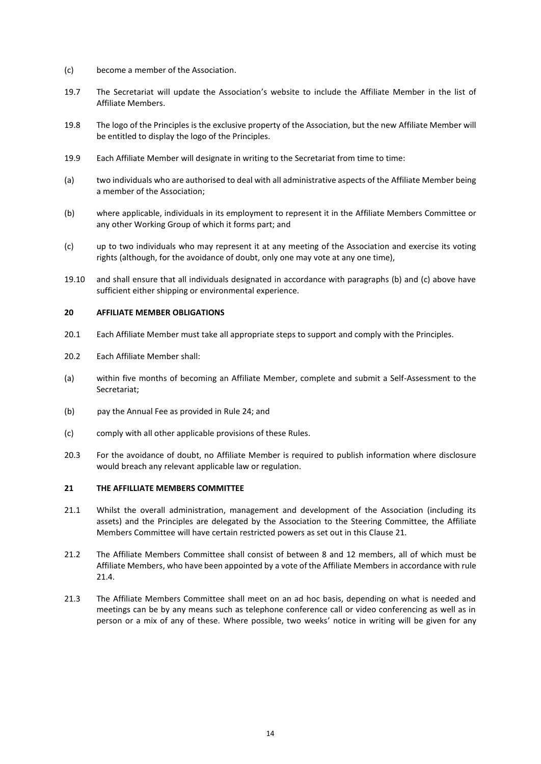- (c) become a member of the Association.
- 19.7 The Secretariat will update the Association's website to include the Affiliate Member in the list of Affiliate Members.
- 19.8 The logo of the Principles is the exclusive property of the Association, but the new Affiliate Member will be entitled to display the logo of the Principles.
- 19.9 Each Affiliate Member will designate in writing to the Secretariat from time to time:
- (a) two individuals who are authorised to deal with all administrative aspects of the Affiliate Member being a member of the Association;
- (b) where applicable, individuals in its employment to represent it in the Affiliate Members Committee or any other Working Group of which it forms part; and
- (c) up to two individuals who may represent it at any meeting of the Association and exercise its voting rights (although, for the avoidance of doubt, only one may vote at any one time),
- 19.10 and shall ensure that all individuals designated in accordance with paragraphs (b) and (c) above have sufficient either shipping or environmental experience.

### <span id="page-13-0"></span>**20 AFFILIATE MEMBER OBLIGATIONS**

- 20.1 Each Affiliate Member must take all appropriate steps to support and comply with the Principles.
- 20.2 Each Affiliate Member shall:
- (a) within five months of becoming an Affiliate Member, complete and submit a Self-Assessment to the Secretariat;
- (b) pay the Annual Fee as provided in Rule [24;](#page-16-0) and
- (c) comply with all other applicable provisions of these Rules.
- 20.3 For the avoidance of doubt, no Affiliate Member is required to publish information where disclosure would breach any relevant applicable law or regulation.

## <span id="page-13-1"></span>**21 THE AFFILLIATE MEMBERS COMMITTEE**

- 21.1 Whilst the overall administration, management and development of the Association (including its assets) and the Principles are delegated by the Association to the Steering Committee, the Affiliate Members Committee will have certain restricted powers as set out in this Claus[e 21.](#page-13-1)
- <span id="page-13-2"></span>21.2 The Affiliate Members Committee shall consist of between 8 and 12 members, all of which must be Affiliate Members, who have been appointed by a vote of the Affiliate Members in accordance with rule [21.4.](#page-14-0)
- 21.3 The Affiliate Members Committee shall meet on an ad hoc basis, depending on what is needed and meetings can be by any means such as telephone conference call or video conferencing as well as in person or a mix of any of these. Where possible, two weeks' notice in writing will be given for any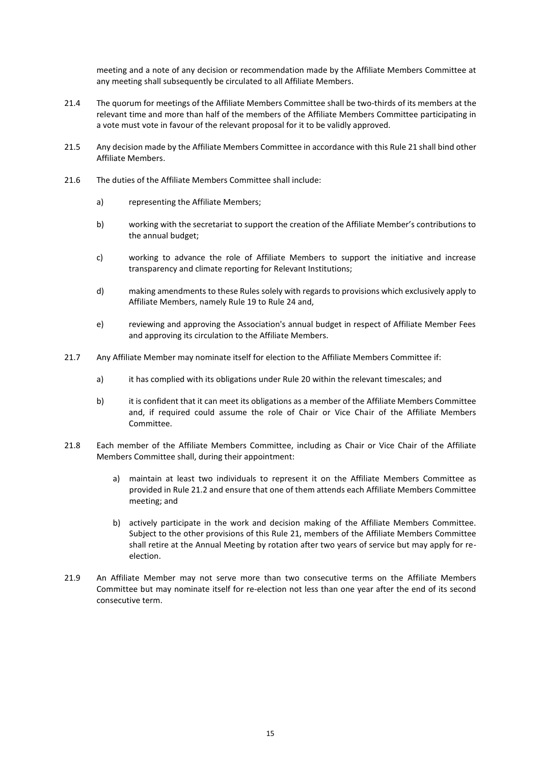meeting and a note of any decision or recommendation made by the Affiliate Members Committee at any meeting shall subsequently be circulated to all Affiliate Members.

- <span id="page-14-0"></span>21.4 The quorum for meetings of the Affiliate Members Committee shall be two-thirds of its members at the relevant time and more than half of the members of the Affiliate Members Committee participating in a vote must vote in favour of the relevant proposal for it to be validly approved.
- 21.5 Any decision made by the Affiliate Members Committee in accordance with this Rul[e 21](#page-13-1) shall bind other Affiliate Members.
- 21.6 The duties of the Affiliate Members Committee shall include:
	- a) representing the Affiliate Members;
	- b) working with the secretariat to support the creation of the Affiliate Member's contributions to the annual budget;
	- c) working to advance the role of Affiliate Members to support the initiative and increase transparency and climate reporting for Relevant Institutions;
	- d) making amendments to these Rules solely with regards to provisions which exclusively apply to Affiliate Members, namely Rule [19](#page-12-1) to Rul[e 24](#page-16-0) and,
	- e) reviewing and approving the Association's annual budget in respect of Affiliate Member Fees and approving its circulation to the Affiliate Members.
- 21.7 Any Affiliate Member may nominate itself for election to the Affiliate Members Committee if:
	- a) it has complied with its obligations under Rul[e 20](#page-13-0) within the relevant timescales; and
	- b) it is confident that it can meet its obligations as a member of the Affiliate Members Committee and, if required could assume the role of Chair or Vice Chair of the Affiliate Members Committee.
- 21.8 Each member of the Affiliate Members Committee, including as Chair or Vice Chair of the Affiliate Members Committee shall, during their appointment:
	- a) maintain at least two individuals to represent it on the Affiliate Members Committee as provided in Rul[e 21.2](#page-13-2) and ensure that one of them attends each Affiliate Members Committee meeting; and
	- b) actively participate in the work and decision making of the Affiliate Members Committee. Subject to the other provisions of this Rul[e 21,](#page-13-1) members of the Affiliate Members Committee shall retire at the Annual Meeting by rotation after two years of service but may apply for reelection.
- <span id="page-14-2"></span><span id="page-14-1"></span>21.9 An Affiliate Member may not serve more than two consecutive terms on the Affiliate Members Committee but may nominate itself for re-election not less than one year after the end of its second consecutive term.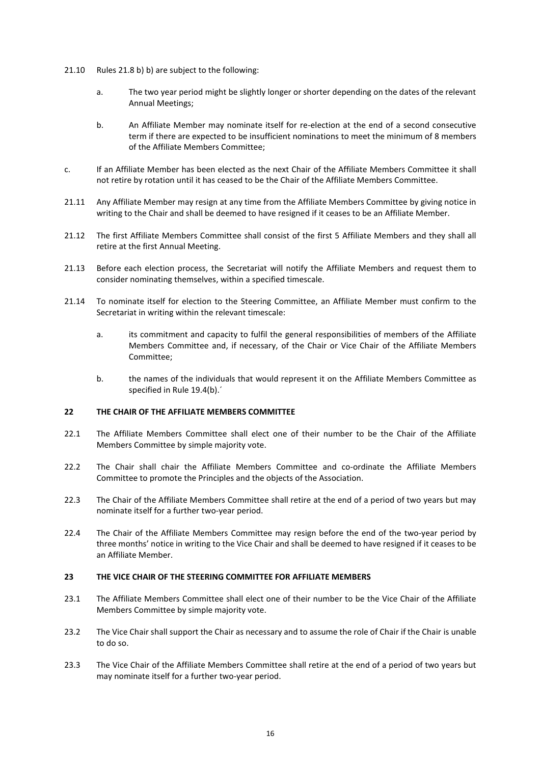- 21.10 Rules 21.[8 b\)](#page-14-1) [b\)](#page-14-2) are subject to the following:
	- a. The two year period might be slightly longer or shorter depending on the dates of the relevant Annual Meetings;
	- b. An Affiliate Member may nominate itself for re-election at the end of a second consecutive term if there are expected to be insufficient nominations to meet the minimum of 8 members of the Affiliate Members Committee;
- c. If an Affiliate Member has been elected as the next Chair of the Affiliate Members Committee it shall not retire by rotation until it has ceased to be the Chair of the Affiliate Members Committee.
- 21.11 Any Affiliate Member may resign at any time from the Affiliate Members Committee by giving notice in writing to the Chair and shall be deemed to have resigned if it ceases to be an Affiliate Member.
- 21.12 The first Affiliate Members Committee shall consist of the first 5 Affiliate Members and they shall all retire at the first Annual Meeting.
- 21.13 Before each election process, the Secretariat will notify the Affiliate Members and request them to consider nominating themselves, within a specified timescale.
- 21.14 To nominate itself for election to the Steering Committee, an Affiliate Member must confirm to the Secretariat in writing within the relevant timescale:
	- a. its commitment and capacity to fulfil the general responsibilities of members of the Affiliate Members Committee and, if necessary, of the Chair or Vice Chair of the Affiliate Members Committee;
	- b. the names of the individuals that would represent it on the Affiliate Members Committee as specified in Rule [19.4\(b\).´](#page-12-2)

## <span id="page-15-0"></span>**22 THE CHAIR OF THE AFFILIATE MEMBERS COMMITTEE**

- 22.1 The Affiliate Members Committee shall elect one of their number to be the Chair of the Affiliate Members Committee by simple majority vote.
- 22.2 The Chair shall chair the Affiliate Members Committee and co-ordinate the Affiliate Members Committee to promote the Principles and the objects of the Association.
- 22.3 The Chair of the Affiliate Members Committee shall retire at the end of a period of two years but may nominate itself for a further two-year period.
- 22.4 The Chair of the Affiliate Members Committee may resign before the end of the two-year period by three months' notice in writing to the Vice Chair and shall be deemed to have resigned if it ceases to be an Affiliate Member.

#### <span id="page-15-1"></span>**23 THE VICE CHAIR OF THE STEERING COMMITTEE FOR AFFILIATE MEMBERS**

- 23.1 The Affiliate Members Committee shall elect one of their number to be the Vice Chair of the Affiliate Members Committee by simple majority vote.
- 23.2 The Vice Chair shall support the Chair as necessary and to assume the role of Chair if the Chair is unable to do so.
- 23.3 The Vice Chair of the Affiliate Members Committee shall retire at the end of a period of two years but may nominate itself for a further two-year period.